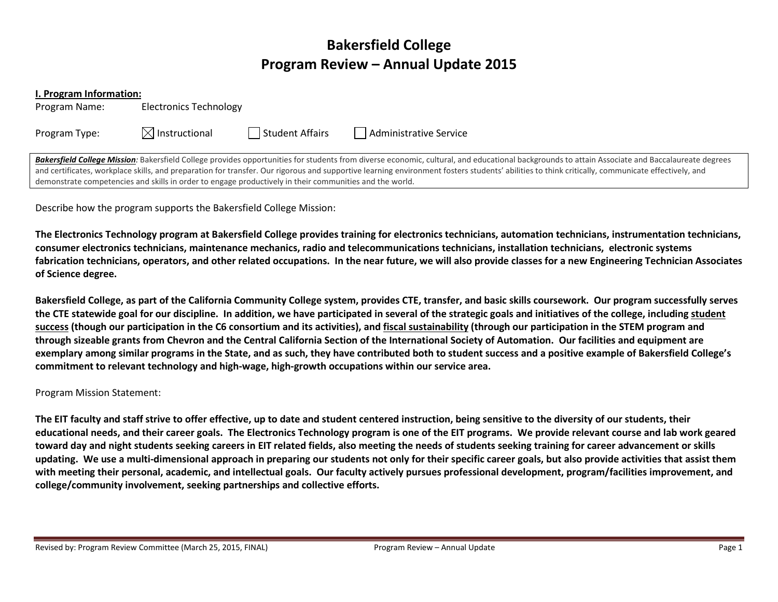# Bakersfield College Program Review – Annual Update 2015

#### I. Program Information:

Program Name: Electronics Technology

Program Type:  $\boxtimes$  Instructional  $\Box$  Student Affairs  $\Box$  Administrative Service

Bakersfield College Mission: Bakersfield College provides opportunities for students from diverse economic, cultural, and educational backgrounds to attain Associate and Baccalaureate degrees and certificates, workplace skills, and preparation for transfer. Our rigorous and supportive learning environment fosters students' abilities to think critically, communicate effectively, and demonstrate competencies and skills in order to engage productively in their communities and the world.

Describe how the program supports the Bakersfield College Mission:

The Electronics Technology program at Bakersfield College provides training for electronics technicians, automation technicians, instrumentation technicians, consumer electronics technicians, maintenance mechanics, radio and telecommunications technicians, installation technicians, electronic systems fabrication technicians, operators, and other related occupations. In the near future, we will also provide classes for a new Engineering Technician Associates of Science degree.

Bakersfield College, as part of the California Community College system, provides CTE, transfer, and basic skills coursework. Our program successfully serves the CTE statewide goal for our discipline. In addition, we have participated in several of the strategic goals and initiatives of the college, including student success (though our participation in the C6 consortium and its activities), and fiscal sustainability (through our participation in the STEM program and through sizeable grants from Chevron and the Central California Section of the International Society of Automation. Our facilities and equipment are exemplary among similar programs in the State, and as such, they have contributed both to student success and a positive example of Bakersfield College'scommitment to relevant technology and high-wage, high-growth occupations within our service area.

### Program Mission Statement:

The EIT faculty and staff strive to offer effective, up to date and student centered instruction, being sensitive to the diversity of our students, theireducational needs, and their career goals. The Electronics Technology program is one of the EIT programs. We provide relevant course and lab work geared toward day and night students seeking careers in EIT related fields, also meeting the needs of students seeking training for career advancement or skills updating. We use a multi-dimensional approach in preparing our students not only for their specific career goals, but also provide activities that assist them with meeting their personal, academic, and intellectual goals. Our faculty actively pursues professional development, program/facilities improvement, and college/community involvement, seeking partnerships and collective efforts.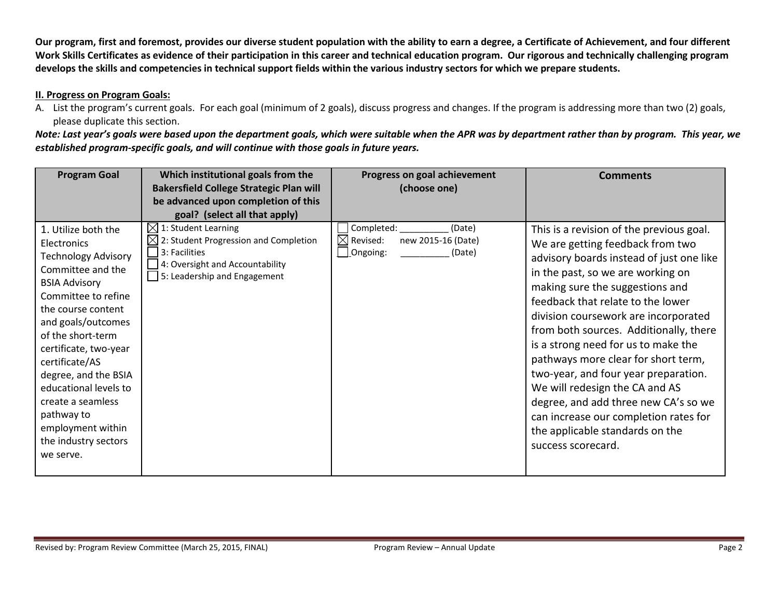Our program, first and foremost, provides our diverse student population with the ability to earn a degree, a Certificate of Achievement, and four different Work Skills Certificates as evidence of their participation in this career and technical education program. Our rigorous and technically challenging program develops the skills and competencies in technical support fields within the various industry sectors for which we prepare students.

#### II. Progress on Program Goals:

A. List the program's current goals. For each goal (minimum of 2 goals), discuss progress and changes. If the program is addressing more than two (2) goals, please duplicate this section.

Note: Last year's goals were based upon the department goals, which were suitable when the APR was by department rather than by program. This year, we established program-specific goals, and will continue with those goals in future years.

| <b>Program Goal</b>                                                                                                                                                                                                                                                                                                                                                                            | Which institutional goals from the<br><b>Bakersfield College Strategic Plan will</b><br>be advanced upon completion of this                                       | Progress on goal achievement<br>(choose one)                                                     | <b>Comments</b>                                                                                                                                                                                                                                                                                                                                                                                                                                                                                                                                                                                                           |
|------------------------------------------------------------------------------------------------------------------------------------------------------------------------------------------------------------------------------------------------------------------------------------------------------------------------------------------------------------------------------------------------|-------------------------------------------------------------------------------------------------------------------------------------------------------------------|--------------------------------------------------------------------------------------------------|---------------------------------------------------------------------------------------------------------------------------------------------------------------------------------------------------------------------------------------------------------------------------------------------------------------------------------------------------------------------------------------------------------------------------------------------------------------------------------------------------------------------------------------------------------------------------------------------------------------------------|
|                                                                                                                                                                                                                                                                                                                                                                                                | goal? (select all that apply)                                                                                                                                     |                                                                                                  |                                                                                                                                                                                                                                                                                                                                                                                                                                                                                                                                                                                                                           |
| 1. Utilize both the<br>Electronics<br><b>Technology Advisory</b><br>Committee and the<br><b>BSIA Advisory</b><br>Committee to refine<br>the course content<br>and goals/outcomes<br>of the short-term<br>certificate, two-year<br>certificate/AS<br>degree, and the BSIA<br>educational levels to<br>create a seamless<br>pathway to<br>employment within<br>the industry sectors<br>we serve. | $\boxtimes$ 1: Student Learning<br>2: Student Progression and Completion<br>⋉<br>3: Facilities<br>4: Oversight and Accountability<br>5: Leadership and Engagement | Completed:<br>(Date)<br>new 2015-16 (Date)<br>$\boxtimes$ Revised:<br>$\perp$ Ongoing:<br>(Date) | This is a revision of the previous goal.<br>We are getting feedback from two<br>advisory boards instead of just one like<br>in the past, so we are working on<br>making sure the suggestions and<br>feedback that relate to the lower<br>division coursework are incorporated<br>from both sources. Additionally, there<br>is a strong need for us to make the<br>pathways more clear for short term,<br>two-year, and four year preparation.<br>We will redesign the CA and AS<br>degree, and add three new CA's so we<br>can increase our completion rates for<br>the applicable standards on the<br>success scorecard. |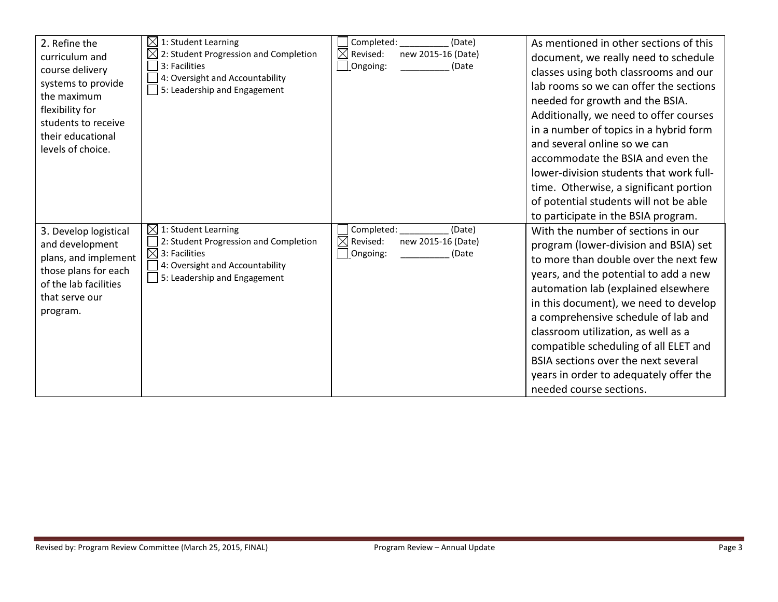| 2. Refine the<br>curriculum and<br>course delivery<br>systems to provide<br>the maximum<br>flexibility for<br>students to receive<br>their educational<br>levels of choice. | $\boxtimes$ 1: Student Learning<br>2: Student Progression and Completion<br>3: Facilities<br>4: Oversight and Accountability<br>5: Leadership and Engagement             | Completed:<br>(Date)<br>$\boxtimes$<br>Revised:<br>new 2015-16 (Date)<br>Ongoing:<br>(Date | As mentioned in other sections of this<br>document, we really need to schedule<br>classes using both classrooms and our<br>lab rooms so we can offer the sections<br>needed for growth and the BSIA.<br>Additionally, we need to offer courses<br>in a number of topics in a hybrid form<br>and several online so we can<br>accommodate the BSIA and even the<br>lower-division students that work full-<br>time. Otherwise, a significant portion<br>of potential students will not be able<br>to participate in the BSIA program. |
|-----------------------------------------------------------------------------------------------------------------------------------------------------------------------------|--------------------------------------------------------------------------------------------------------------------------------------------------------------------------|--------------------------------------------------------------------------------------------|-------------------------------------------------------------------------------------------------------------------------------------------------------------------------------------------------------------------------------------------------------------------------------------------------------------------------------------------------------------------------------------------------------------------------------------------------------------------------------------------------------------------------------------|
| 3. Develop logistical<br>and development<br>plans, and implement<br>those plans for each<br>of the lab facilities<br>that serve our<br>program.                             | $\boxtimes$ 1: Student Learning<br>2: Student Progression and Completion<br>$\boxtimes$ 3: Facilities<br>4: Oversight and Accountability<br>5: Leadership and Engagement | Completed:<br>(Date)<br>$\boxtimes$ Revised:<br>new 2015-16 (Date)<br>Ongoing:<br>(Date    | With the number of sections in our<br>program (lower-division and BSIA) set<br>to more than double over the next few<br>years, and the potential to add a new<br>automation lab (explained elsewhere<br>in this document), we need to develop<br>a comprehensive schedule of lab and<br>classroom utilization, as well as a<br>compatible scheduling of all ELET and<br>BSIA sections over the next several<br>years in order to adequately offer the<br>needed course sections.                                                    |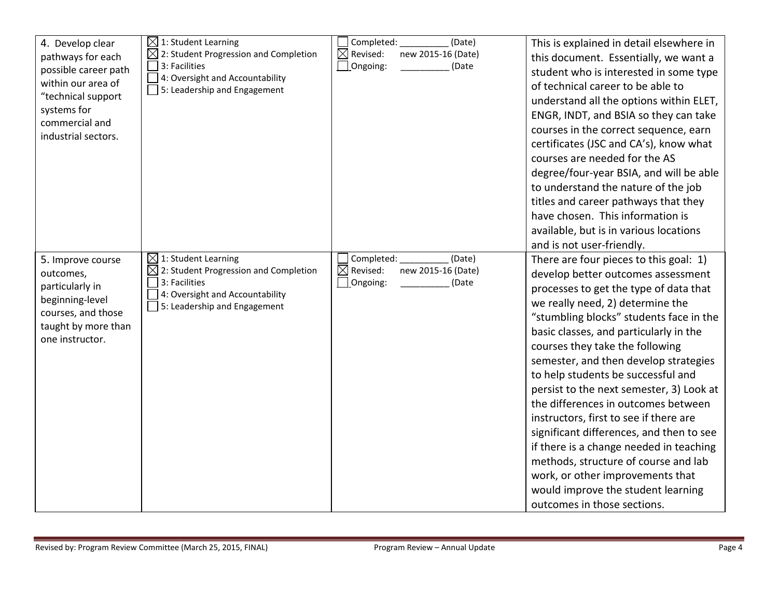| 4. Develop clear<br>pathways for each<br>possible career path<br>within our area of<br>"technical support<br>systems for<br>commercial and<br>industrial sectors. | $\boxtimes$ 1: Student Learning<br>$\boxtimes$ 2: Student Progression and Completion<br>3: Facilities<br>4: Oversight and Accountability<br>$\Box$ 5: Leadership and Engagement | Completed:<br>(Date)<br>$\boxtimes$ Revised:<br>new 2015-16 (Date)<br>Ongoing:<br>(Date | This is explained in detail elsewhere in<br>this document. Essentially, we want a<br>student who is interested in some type<br>of technical career to be able to<br>understand all the options within ELET,<br>ENGR, INDT, and BSIA so they can take<br>courses in the correct sequence, earn<br>certificates (JSC and CA's), know what<br>courses are needed for the AS<br>degree/four-year BSIA, and will be able<br>to understand the nature of the job<br>titles and career pathways that they<br>have chosen. This information is<br>available, but is in various locations<br>and is not user-friendly.                                                                                                                          |
|-------------------------------------------------------------------------------------------------------------------------------------------------------------------|---------------------------------------------------------------------------------------------------------------------------------------------------------------------------------|-----------------------------------------------------------------------------------------|----------------------------------------------------------------------------------------------------------------------------------------------------------------------------------------------------------------------------------------------------------------------------------------------------------------------------------------------------------------------------------------------------------------------------------------------------------------------------------------------------------------------------------------------------------------------------------------------------------------------------------------------------------------------------------------------------------------------------------------|
| 5. Improve course<br>outcomes,<br>particularly in<br>beginning-level<br>courses, and those<br>taught by more than<br>one instructor.                              | $\boxtimes$ 1: Student Learning<br>$\boxtimes$ 2: Student Progression and Completion<br>3: Facilities<br>4: Oversight and Accountability<br>5: Leadership and Engagement        | Completed:<br>(Date)<br>$\boxtimes$ Revised:<br>new 2015-16 (Date)<br>Ongoing:<br>(Date | There are four pieces to this goal: 1)<br>develop better outcomes assessment<br>processes to get the type of data that<br>we really need, 2) determine the<br>"stumbling blocks" students face in the<br>basic classes, and particularly in the<br>courses they take the following<br>semester, and then develop strategies<br>to help students be successful and<br>persist to the next semester, 3) Look at<br>the differences in outcomes between<br>instructors, first to see if there are<br>significant differences, and then to see<br>if there is a change needed in teaching<br>methods, structure of course and lab<br>work, or other improvements that<br>would improve the student learning<br>outcomes in those sections. |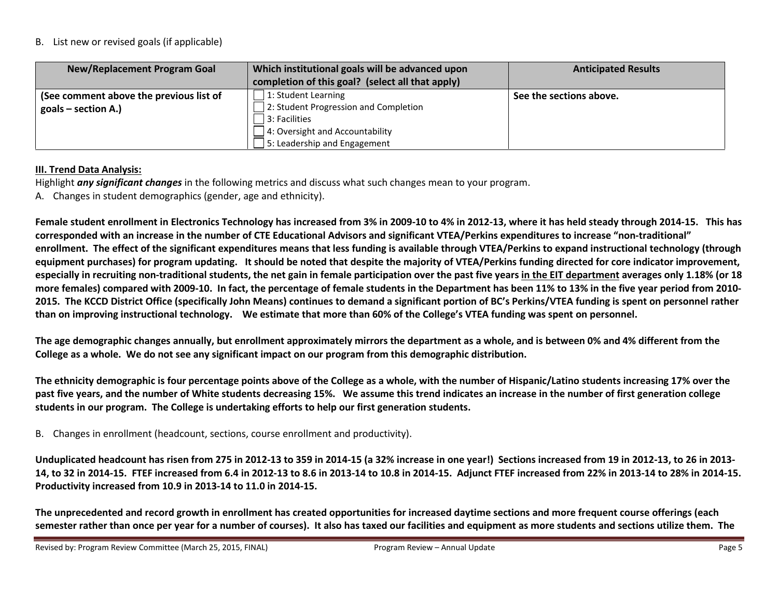#### B. List new or revised goals (if applicable)

| New/Replacement Program Goal            | Which institutional goals will be advanced upon<br>completion of this goal? (select all that apply) | <b>Anticipated Results</b> |
|-----------------------------------------|-----------------------------------------------------------------------------------------------------|----------------------------|
| (See comment above the previous list of | 1: Student Learning                                                                                 | See the sections above.    |
| $goals - section A.)$                   | 2: Student Progression and Completion                                                               |                            |
|                                         | $ 3:$ Facilities                                                                                    |                            |
|                                         | 4: Oversight and Accountability                                                                     |                            |
|                                         | 5: Leadership and Engagement                                                                        |                            |

# III. Trend Data Analysis:

Highlight any significant changes in the following metrics and discuss what such changes mean to your program.

A. Changes in student demographics (gender, age and ethnicity).

Female student enrollment in Electronics Technology has increased from 3% in 2009-10 to 4% in 2012-13, where it has held steady through 2014-15. This has corresponded with an increase in the number of CTE Educational Advisors and significant VTEA/Perkins expenditures to increase "non-traditional" enrollment. The effect of the significant expenditures means that less funding is available through VTEA/Perkins to expand instructional technology (through equipment purchases) for program updating. It should be noted that despite the majority of VTEA/Perkins funding directed for core indicator improvement, especially in recruiting non-traditional students, the net gain in female participation over the past five years in the EIT department averages only 1.18% (or 18 more females) compared with 2009-10. In fact, the percentage of female students in the Department has been 11% to 13% in the five year period from 2010- 2015. The KCCD District Office (specifically John Means) continues to demand a significant portion of BC's Perkins/VTEA funding is spent on personnel rather than on improving instructional technology. We estimate that more than 60% of the College's VTEA funding was spent on personnel.

The age demographic changes annually, but enrollment approximately mirrors the department as a whole, and is between 0% and 4% different from the College as a whole. We do not see any significant impact on our program from this demographic distribution.

The ethnicity demographic is four percentage points above of the College as a whole, with the number of Hispanic/Latino students increasing 17% over the past five years, and the number of White students decreasing 15%. We assume this trend indicates an increase in the number of first generation college students in our program. The College is undertaking efforts to help our first generation students.

B. Changes in enrollment (headcount, sections, course enrollment and productivity).

Unduplicated headcount has risen from 275 in 2012-13 to 359 in 2014-15 (a 32% increase in one year!) Sections increased from 19 in 2012-13, to 26 in 2013- 14, to 32 in 2014-15. FTEF increased from 6.4 in 2012-13 to 8.6 in 2013-14 to 10.8 in 2014-15. Adjunct FTEF increased from 22% in 2013-14 to 28% in 2014-15. Productivity increased from 10.9 in 2013-14 to 11.0 in 2014-15.

The unprecedented and record growth in enrollment has created opportunities for increased daytime sections and more frequent course offerings (each semester rather than once per year for a number of courses). It also has taxed our facilities and equipment as more students and sections utilize them. The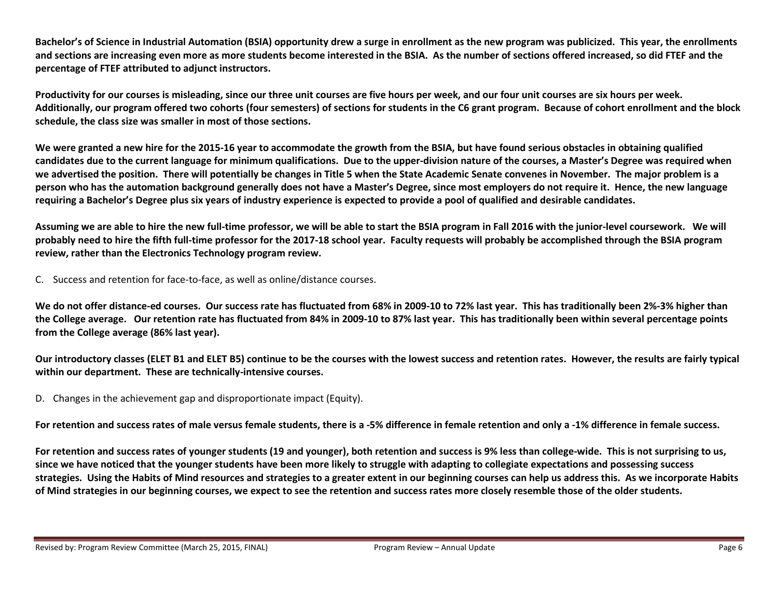Bachelor's of Science in Industrial Automation (BSIA) opportunity drew a surge in enrollment as the new program was publicized. This year, the enrollments and sections are increasing even more as more students become interested in the BSIA. As the number of sections offered increased, so did FTEF and the percentage of FTEF attributed to adjunct instructors.

Productivity for our courses is misleading, since our three unit courses are five hours per week, and our four unit courses are six hours per week. Additionally, our program offered two cohorts (four semesters) of sections for students in the C6 grant program. Because of cohort enrollment and the block schedule, the class size was smaller in most of those sections.

We were granted a new hire for the 2015-16 year to accommodate the growth from the BSIA, but have found serious obstacles in obtaining qualified candidates due to the current language for minimum qualifications. Due to the upper-division nature of the courses, a Master's Degree was required when we advertised the position. There will potentially be changes in Title 5 when the State Academic Senate convenes in November. The major problem is a person who has the automation background generally does not have a Master's Degree, since most employers do not require it. Hence, the new language requiring a Bachelor's Degree plus six years of industry experience is expected to provide a pool of qualified and desirable candidates.

Assuming we are able to hire the new full-time professor, we will be able to start the BSIA program in Fall 2016 with the junior-level coursework. We will probably need to hire the fifth full-time professor for the 2017-18 school year. Faculty requests will probably be accomplished through the BSIA programreview, rather than the Electronics Technology program review.

C. Success and retention for face-to-face, as well as online/distance courses.

We do not offer distance-ed courses. Our success rate has fluctuated from 68% in 2009-10 to 72% last year. This has traditionally been 2%-3% higher than the College average. Our retention rate has fluctuated from 84% in 2009-10 to 87% last year. This has traditionally been within several percentage points from the College average (86% last year).

Our introductory classes (ELET B1 and ELET B5) continue to be the courses with the lowest success and retention rates. However, the results are fairly typical within our department. These are technically-intensive courses.

D. Changes in the achievement gap and disproportionate impact (Equity).

For retention and success rates of male versus female students, there is a -5% difference in female retention and only a -1% difference in female success.

For retention and success rates of younger students (19 and younger), both retention and success is 9% less than college-wide. This is not surprising to us, since we have noticed that the younger students have been more likely to struggle with adapting to collegiate expectations and possessing success strategies. Using the Habits of Mind resources and strategies to a greater extent in our beginning courses can help us address this. As we incorporate Habits of Mind strategies in our beginning courses, we expect to see the retention and success rates more closely resemble those of the older students.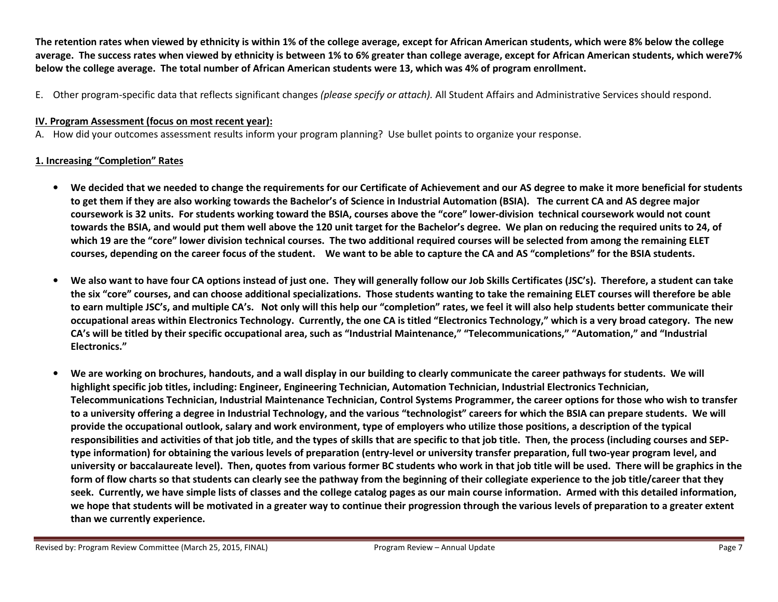The retention rates when viewed by ethnicity is within 1% of the college average, except for African American students, which were 8% below the college average. The success rates when viewed by ethnicity is between 1% to 6% greater than college average, except for African American students, which were7%below the college average. The total number of African American students were 13, which was 4% of program enrollment.

E. Other program-specific data that reflects significant changes *(please specify or attach).* All Student Affairs and Administrative Services should respond.

# IV. Program Assessment (focus on most recent year):

A. How did your outcomes assessment results inform your program planning? Use bullet points to organize your response.

# 1. Increasing "Completion" Rates

- We decided that we needed to change the requirements for our Certificate of Achievement and our AS degree to make it more beneficial for students to get them if they are also working towards the Bachelor's of Science in Industrial Automation (BSIA). The current CA and AS degree major coursework is 32 units. For students working toward the BSIA, courses above the "core" lower-division technical coursework would not count towards the BSIA, and would put them well above the 120 unit target for the Bachelor's degree. We plan on reducing the required units to 24, of which 19 are the "core" lower division technical courses. The two additional required courses will be selected from among the remaining ELET courses, depending on the career focus of the student. We want to be able to capture the CA and AS "completions" for the BSIA students.
- • We also want to have four CA options instead of just one. They will generally follow our Job Skills Certificates (JSC's). Therefore, a student can take the six "core" courses, and can choose additional specializations. Those students wanting to take the remaining ELET courses will therefore be able to earn multiple JSC's, and multiple CA's. Not only will this help our "completion" rates, we feel it will also help students better communicate their occupational areas within Electronics Technology. Currently, the one CA is titled "Electronics Technology," which is a very broad category. The new CA's will be titled by their specific occupational area, such as "Industrial Maintenance," "Telecommunications," "Automation," and "Industrial Electronics."
- • We are working on brochures, handouts, and a wall display in our building to clearly communicate the career pathways for students. We will highlight specific job titles, including: Engineer, Engineering Technician, Automation Technician, Industrial Electronics Technician, Telecommunications Technician, Industrial Maintenance Technician, Control Systems Programmer, the career options for those who wish to transfer to a university offering a degree in Industrial Technology, and the various "technologist" careers for which the BSIA can prepare students. We will provide the occupational outlook, salary and work environment, type of employers who utilize those positions, a description of the typical responsibilities and activities of that job title, and the types of skills that are specific to that job title. Then, the process (including courses and SEPtype information) for obtaining the various levels of preparation (entry-level or university transfer preparation, full two-year program level, and university or baccalaureate level). Then, quotes from various former BC students who work in that job title will be used. There will be graphics in theform of flow charts so that students can clearly see the pathway from the beginning of their collegiate experience to the job title/career that they seek. Currently, we have simple lists of classes and the college catalog pages as our main course information. Armed with this detailed information, we hope that students will be motivated in a greater way to continue their progression through the various levels of preparation to a greater extent than we currently experience.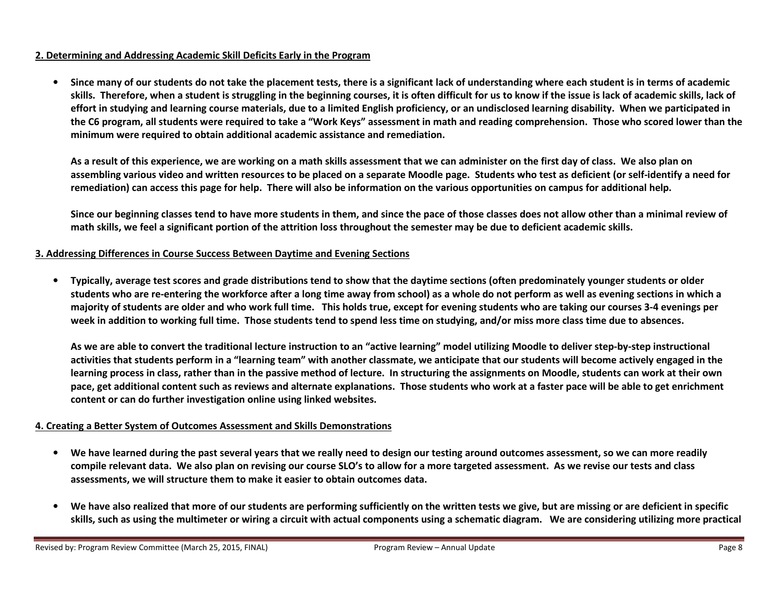#### 2. Determining and Addressing Academic Skill Deficits Early in the Program

• Since many of our students do not take the placement tests, there is a significant lack of understanding where each student is in terms of academic skills. Therefore, when a student is struggling in the beginning courses, it is often difficult for us to know if the issue is lack of academic skills, lack of effort in studying and learning course materials, due to a limited English proficiency, or an undisclosed learning disability. When we participated in the C6 program, all students were required to take a "Work Keys" assessment in math and reading comprehension. Those who scored lower than the minimum were required to obtain additional academic assistance and remediation.

As a result of this experience, we are working on a math skills assessment that we can administer on the first day of class. We also plan on assembling various video and written resources to be placed on a separate Moodle page. Students who test as deficient (or self-identify a need for remediation) can access this page for help. There will also be information on the various opportunities on campus for additional help.

Since our beginning classes tend to have more students in them, and since the pace of those classes does not allow other than a minimal review of math skills, we feel a significant portion of the attrition loss throughout the semester may be due to deficient academic skills.

#### 3. Addressing Differences in Course Success Between Daytime and Evening Sections

• Typically, average test scores and grade distributions tend to show that the daytime sections (often predominately younger students or older students who are re-entering the workforce after a long time away from school) as a whole do not perform as well as evening sections in which a majority of students are older and who work full time. This holds true, except for evening students who are taking our courses 3-4 evenings per week in addition to working full time. Those students tend to spend less time on studying, and/or miss more class time due to absences.

As we are able to convert the traditional lecture instruction to an "active learning" model utilizing Moodle to deliver step-by-step instructional activities that students perform in a "learning team" with another classmate, we anticipate that our students will become actively engaged in the learning process in class, rather than in the passive method of lecture. In structuring the assignments on Moodle, students can work at their own pace, get additional content such as reviews and alternate explanations. Those students who work at a faster pace will be able to get enrichment content or can do further investigation online using linked websites.

#### 4. Creating a Better System of Outcomes Assessment and Skills Demonstrations

- •We have learned during the past several years that we really need to design our testing around outcomes assessment, so we can more readily compile relevant data. We also plan on revising our course SLO's to allow for a more targeted assessment. As we revise our tests and class assessments, we will structure them to make it easier to obtain outcomes data.
- • We have also realized that more of our students are performing sufficiently on the written tests we give, but are missing or are deficient in specific skills, such as using the multimeter or wiring a circuit with actual components using a schematic diagram. We are considering utilizing more practical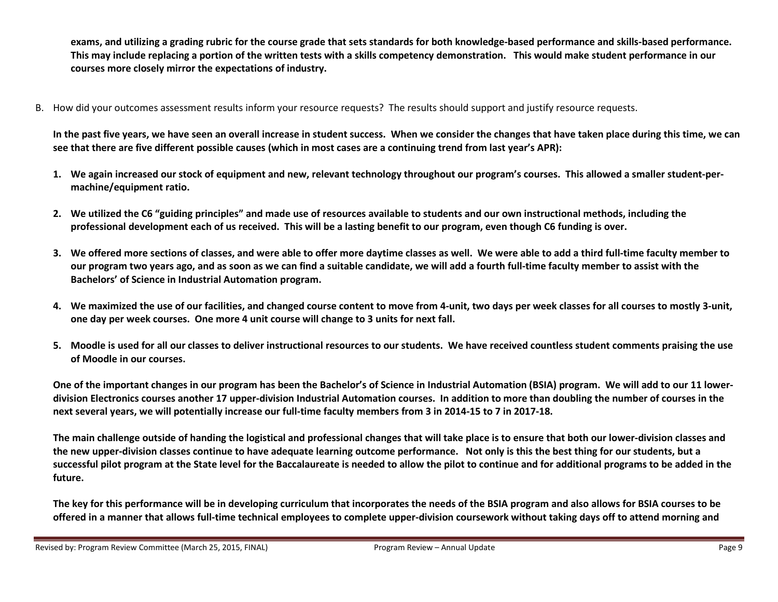exams, and utilizing a grading rubric for the course grade that sets standards for both knowledge-based performance and skills-based performance. This may include replacing a portion of the written tests with a skills competency demonstration. This would make student performance in our courses more closely mirror the expectations of industry.

B. How did your outcomes assessment results inform your resource requests? The results should support and justify resource requests.

In the past five years, we have seen an overall increase in student success. When we consider the changes that have taken place during this time, we cansee that there are five different possible causes (which in most cases are a continuing trend from last year's APR):

- 1. We again increased our stock of equipment and new, relevant technology throughout our program's courses. This allowed a smaller student-permachine/equipment ratio.
- 2. We utilized the C6 "guiding principles" and made use of resources available to students and our own instructional methods, including the professional development each of us received. This will be a lasting benefit to our program, even though C6 funding is over.
- 3. We offered more sections of classes, and were able to offer more daytime classes as well. We were able to add a third full-time faculty member to our program two years ago, and as soon as we can find a suitable candidate, we will add a fourth full-time faculty member to assist with the Bachelors' of Science in Industrial Automation program.
- 4. We maximized the use of our facilities, and changed course content to move from 4-unit, two days per week classes for all courses to mostly 3-unit, one day per week courses. One more 4 unit course will change to 3 units for next fall.
- 5. Moodle is used for all our classes to deliver instructional resources to our students. We have received countless student comments praising the use of Moodle in our courses.

One of the important changes in our program has been the Bachelor's of Science in Industrial Automation (BSIA) program. We will add to our 11 lowerdivision Electronics courses another 17 upper-division Industrial Automation courses. In addition to more than doubling the number of courses in the next several years, we will potentially increase our full-time faculty members from 3 in 2014-15 to 7 in 2017-18.

The main challenge outside of handing the logistical and professional changes that will take place is to ensure that both our lower-division classes and the new upper-division classes continue to have adequate learning outcome performance. Not only is this the best thing for our students, but a successful pilot program at the State level for the Baccalaureate is needed to allow the pilot to continue and for additional programs to be added in thefuture.

The key for this performance will be in developing curriculum that incorporates the needs of the BSIA program and also allows for BSIA courses to be offered in a manner that allows full-time technical employees to complete upper-division coursework without taking days off to attend morning and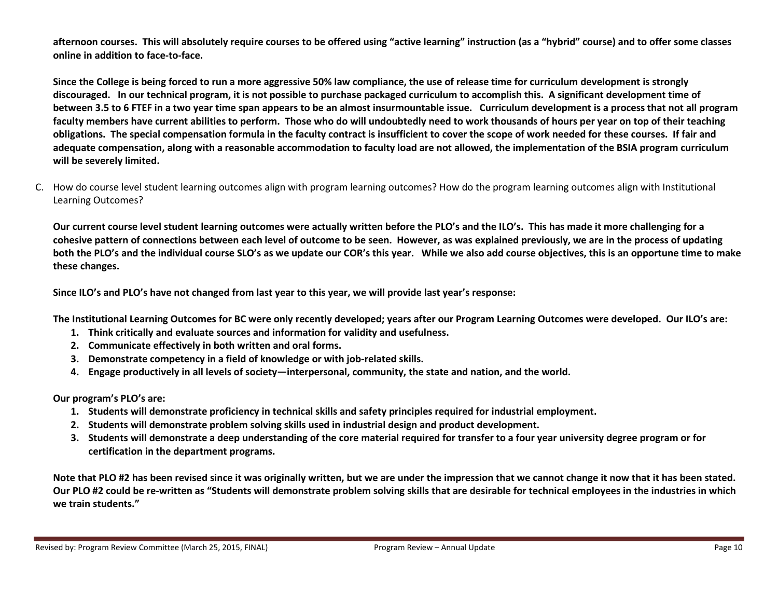afternoon courses. This will absolutely require courses to be offered using "active learning" instruction (as a "hybrid" course) and to offer some classes online in addition to face-to-face.

Since the College is being forced to run a more aggressive 50% law compliance, the use of release time for curriculum development is strongly discouraged. In our technical program, it is not possible to purchase packaged curriculum to accomplish this. A significant development time of between 3.5 to 6 FTEF in a two year time span appears to be an almost insurmountable issue. Curriculum development is a process that not all program faculty members have current abilities to perform. Those who do will undoubtedly need to work thousands of hours per year on top of their teaching obligations. The special compensation formula in the faculty contract is insufficient to cover the scope of work needed for these courses. If fair and adequate compensation, along with a reasonable accommodation to faculty load are not allowed, the implementation of the BSIA program curriculum will be severely limited.

C. How do course level student learning outcomes align with program learning outcomes? How do the program learning outcomes align with Institutional Learning Outcomes?

Our current course level student learning outcomes were actually written before the PLO's and the ILO's. This has made it more challenging for a cohesive pattern of connections between each level of outcome to be seen. However, as was explained previously, we are in the process of updating both the PLO's and the individual course SLO's as we update our COR's this year. While we also add course objectives, this is an opportune time to makethese changes.

Since ILO's and PLO's have not changed from last year to this year, we will provide last year's response:

The Institutional Learning Outcomes for BC were only recently developed; years after our Program Learning Outcomes were developed. Our ILO's are:

- 1. Think critically and evaluate sources and information for validity and usefulness.
- 2. Communicate effectively in both written and oral forms.
- 3. Demonstrate competency in a field of knowledge or with job-related skills.
- 4. Engage productively in all levels of society—interpersonal, community, the state and nation, and the world.

Our program's PLO's are:

- 1. Students will demonstrate proficiency in technical skills and safety principles required for industrial employment.
- 2. Students will demonstrate problem solving skills used in industrial design and product development.
- 3. Students will demonstrate a deep understanding of the core material required for transfer to a four year university degree program or for certification in the department programs.

Note that PLO #2 has been revised since it was originally written, but we are under the impression that we cannot change it now that it has been stated. Our PLO #2 could be re-written as "Students will demonstrate problem solving skills that are desirable for technical employees in the industries in whichwe train students."

Revised by: Program Review Committee (March 25, 2015, FINAL) Program Review – Annual Update Page 10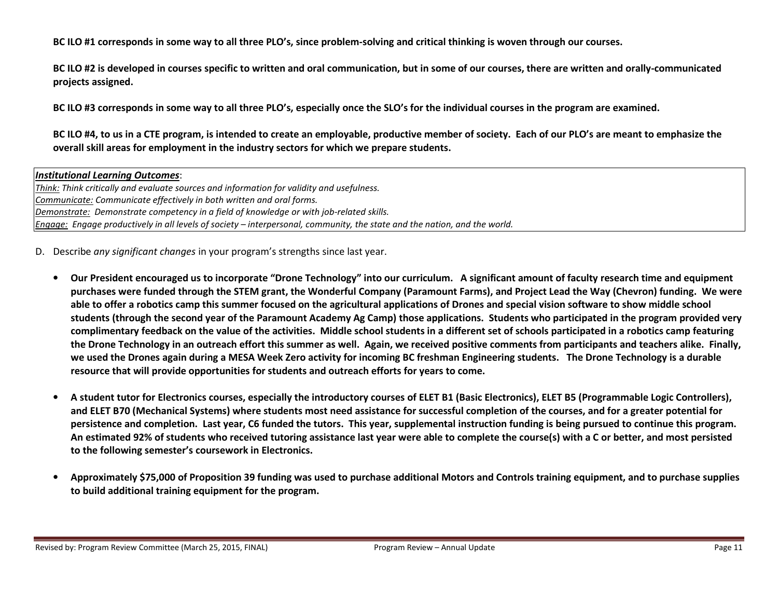BC ILO #1 corresponds in some way to all three PLO's, since problem-solving and critical thinking is woven through our courses.

BC ILO #2 is developed in courses specific to written and oral communication, but in some of our courses, there are written and orally-communicated projects assigned.

BC ILO #3 corresponds in some way to all three PLO's, especially once the SLO's for the individual courses in the program are examined.

BC ILO #4, to us in a CTE program, is intended to create an employable, productive member of society. Each of our PLO's are meant to emphasize the overall skill areas for employment in the industry sectors for which we prepare students.

Institutional Learning Outcomes: Think: Think critically and evaluate sources and information for validity and usefulness. Communicate: Communicate effectively in both written and oral forms. Demonstrate: Demonstrate competency in a field of knowledge or with job-related skills. Engage: Engage productively in all levels of society – interpersonal, community, the state and the nation, and the world.

D. Describe any significant changes in your program's strengths since last year.

- $\bullet$  Our President encouraged us to incorporate "Drone Technology" into our curriculum. A significant amount of faculty research time and equipment purchases were funded through the STEM grant, the Wonderful Company (Paramount Farms), and Project Lead the Way (Chevron) funding. We were able to offer a robotics camp this summer focused on the agricultural applications of Drones and special vision software to show middle school students (through the second year of the Paramount Academy Ag Camp) those applications. Students who participated in the program provided very complimentary feedback on the value of the activities. Middle school students in a different set of schools participated in a robotics camp featuring the Drone Technology in an outreach effort this summer as well. Again, we received positive comments from participants and teachers alike. Finally, we used the Drones again during a MESA Week Zero activity for incoming BC freshman Engineering students. The Drone Technology is a durable resource that will provide opportunities for students and outreach efforts for years to come.
- • A student tutor for Electronics courses, especially the introductory courses of ELET B1 (Basic Electronics), ELET B5 (Programmable Logic Controllers), and ELET B70 (Mechanical Systems) where students most need assistance for successful completion of the courses, and for a greater potential for persistence and completion. Last year, C6 funded the tutors. This year, supplemental instruction funding is being pursued to continue this program. An estimated 92% of students who received tutoring assistance last year were able to complete the course(s) with a C or better, and most persisted to the following semester's coursework in Electronics.
- • Approximately \$75,000 of Proposition 39 funding was used to purchase additional Motors and Controls training equipment, and to purchase supplies to build additional training equipment for the program.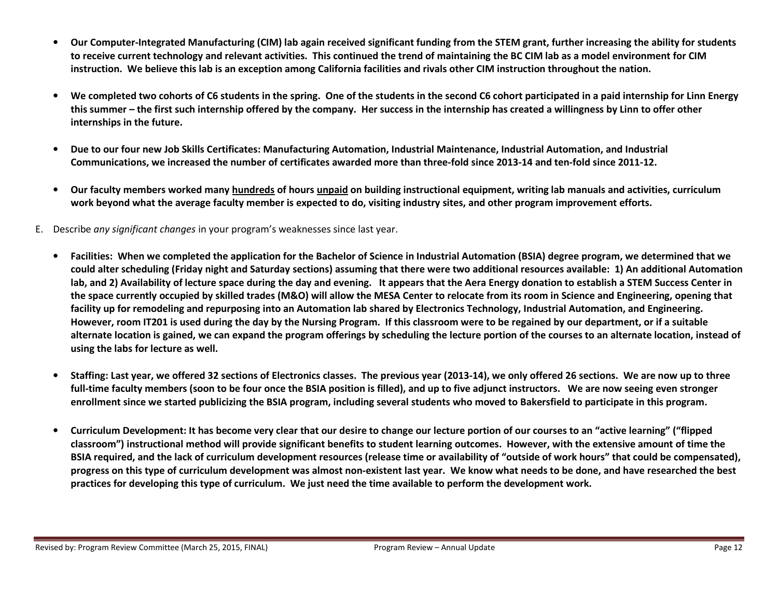- • Our Computer-Integrated Manufacturing (CIM) lab again received significant funding from the STEM grant, further increasing the ability for students to receive current technology and relevant activities. This continued the trend of maintaining the BC CIM lab as a model environment for CIM instruction. We believe this lab is an exception among California facilities and rivals other CIM instruction throughout the nation.
- •We completed two cohorts of C6 students in the spring. One of the students in the second C6 cohort participated in a paid internship for Linn Energy this summer – the first such internship offered by the company. Her success in the internship has created a willingness by Linn to offer other internships in the future.
- • Due to our four new Job Skills Certificates: Manufacturing Automation, Industrial Maintenance, Industrial Automation, and Industrial Communications, we increased the number of certificates awarded more than three-fold since 2013-14 and ten-fold since 2011-12.
- $\bullet$  Our faculty members worked many hundreds of hours unpaid on building instructional equipment, writing lab manuals and activities, curriculum work beyond what the average faculty member is expected to do, visiting industry sites, and other program improvement efforts.
- E. Describe any significant changes in your program's weaknesses since last year.
	- • Facilities: When we completed the application for the Bachelor of Science in Industrial Automation (BSIA) degree program, we determined that we could alter scheduling (Friday night and Saturday sections) assuming that there were two additional resources available: 1) An additional Automation lab, and 2) Availability of lecture space during the day and evening. It appears that the Aera Energy donation to establish a STEM Success Center in the space currently occupied by skilled trades (M&O) will allow the MESA Center to relocate from its room in Science and Engineering, opening that facility up for remodeling and repurposing into an Automation lab shared by Electronics Technology, Industrial Automation, and Engineering. However, room IT201 is used during the day by the Nursing Program. If this classroom were to be regained by our department, or if a suitable alternate location is gained, we can expand the program offerings by scheduling the lecture portion of the courses to an alternate location, instead of using the labs for lecture as well.
	- • Staffing: Last year, we offered 32 sections of Electronics classes. The previous year (2013-14), we only offered 26 sections. We are now up to three full-time faculty members (soon to be four once the BSIA position is filled), and up to five adjunct instructors. We are now seeing even stronger enrollment since we started publicizing the BSIA program, including several students who moved to Bakersfield to participate in this program.
	- • Curriculum Development: It has become very clear that our desire to change our lecture portion of our courses to an "active learning" ("flipped classroom") instructional method will provide significant benefits to student learning outcomes. However, with the extensive amount of time the BSIA required, and the lack of curriculum development resources (release time or availability of "outside of work hours" that could be compensated), progress on this type of curriculum development was almost non-existent last year. We know what needs to be done, and have researched the best practices for developing this type of curriculum. We just need the time available to perform the development work.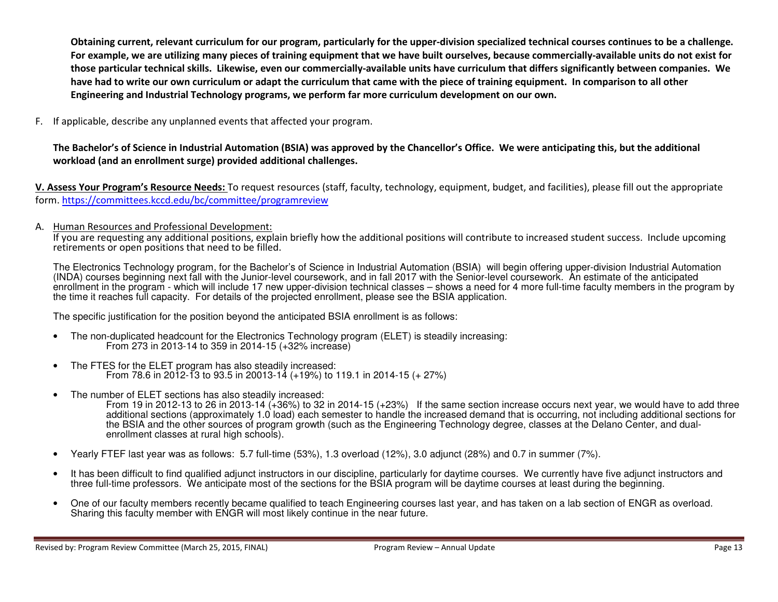Obtaining current, relevant curriculum for our program, particularly for the upper-division specialized technical courses continues to be a challenge. For example, we are utilizing many pieces of training equipment that we have built ourselves, because commercially-available units do not exist for those particular technical skills. Likewise, even our commercially-available units have curriculum that differs significantly between companies. We have had to write our own curriculum or adapt the curriculum that came with the piece of training equipment. In comparison to all other Engineering and Industrial Technology programs, we perform far more curriculum development on our own.

F. If applicable, describe any unplanned events that affected your program.

# The Bachelor's of Science in Industrial Automation (BSIA) was approved by the Chancellor's Office. We were anticipating this, but the additional workload (and an enrollment surge) provided additional challenges.

V. Assess Your Program's Resource Needs: To request resources (staff, faculty, technology, equipment, budget, and facilities), please fill out the appropriate form. https://committees.kccd.edu/bc/committee/programreview

A. Human Resources and Professional Development:

If you are requesting any additional positions, explain briefly how the additional positions will contribute to increased student success. Include upcoming retirements or open positions that need to be filled.

The Electronics Technology program, for the Bachelor's of Science in Industrial Automation (BSIA) will begin offering upper-division Industrial Automation (INDA) courses beginning next fall with the Junior-level coursework, and in fall 2017 with the Senior-level coursework. An estimate of the anticipated enrollment in the program - which will include 17 new upper-division technical classes – shows a need for 4 more full-time faculty members in the program by the time it reaches full capacity. For details of the projected enrollment, please see the BSIA application.

The specific justification for the position beyond the anticipated BSIA enrollment is as follows:

- The non-duplicated headcount for the Electronics Technology program (ELET) is steadily increasing: From 273 in 2013-14 to 359 in 2014-15 (+32% increase)
- The FTES for the ELET program has also steadily increased: From 78.6 in 2012-13 to 93.5 in 20013-14 (+19%) to 119.1 in 2014-15 (+ 27%)
- The number of ELET sections has also steadily increased: From 19 in 2012-13 to 26 in 2013-14 (+36%) to 32 in 2014-15 (+23%) If the same section increase occurs next year, we would have to add three additional sections (approximately 1.0 load) each semester to handle the increased demand that is occurring, not including additional sections for the BSIA and the other sources of program growth (such as the Engineering Technology degree, classes at the Delano Center, and dualenrollment classes at rural high schools).
- Yearly FTEF last year was as follows: 5.7 full-time (53%), 1.3 overload (12%), 3.0 adjunct (28%) and 0.7 in summer (7%).
- It has been difficult to find qualified adjunct instructors in our discipline, particularly for daytime courses. We currently have five adjunct instructors and three full-time professors. We anticipate most of the sections for the BSIA program will be daytime courses at least during the beginning.
- One of our faculty members recently became qualified to teach Engineering courses last year, and has taken on a lab section of ENGR as overload. Sharing this faculty member with ENGR will most likely continue in the near future.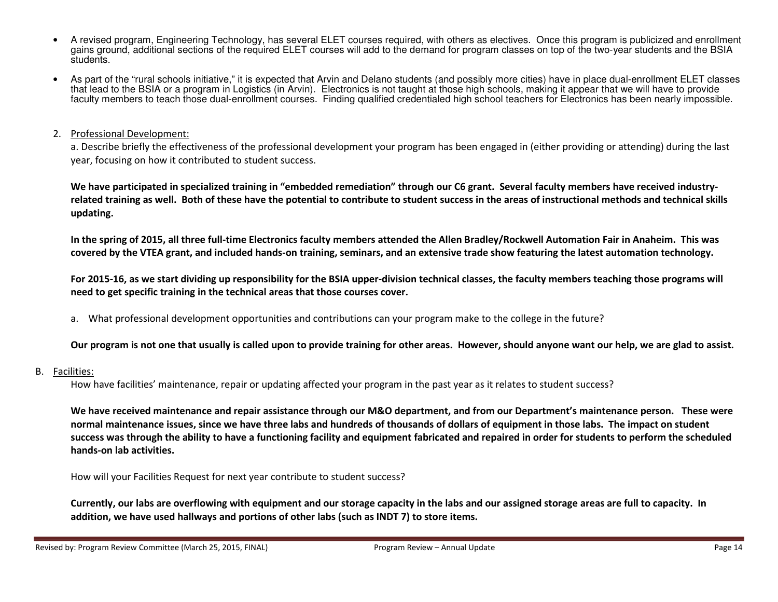- A revised program, Engineering Technology, has several ELET courses required, with others as electives. Once this program is publicized and enrollment gains ground, additional sections of the required ELET courses will add to the demand for program classes on top of the two-year students and the BSIA students.
- As part of the "rural schools initiative," it is expected that Arvin and Delano students (and possibly more cities) have in place dual-enrollment ELET classes that lead to the BSIA or a program in Logistics (in Arvin). Electronics is not taught at those high schools, making it appear that we will have to provide faculty members to teach those dual-enrollment courses. Finding qualified credentialed high school teachers for Electronics has been nearly impossible.

## 2. Professional Development:

a. Describe briefly the effectiveness of the professional development your program has been engaged in (either providing or attending) during the last year, focusing on how it contributed to student success.

We have participated in specialized training in "embedded remediation" through our C6 grant. Several faculty members have received industryrelated training as well. Both of these have the potential to contribute to student success in the areas of instructional methods and technical skills updating.

In the spring of 2015, all three full-time Electronics faculty members attended the Allen Bradley/Rockwell Automation Fair in Anaheim. This was covered by the VTEA grant, and included hands-on training, seminars, and an extensive trade show featuring the latest automation technology.

For 2015-16, as we start dividing up responsibility for the BSIA upper-division technical classes, the faculty members teaching those programs will need to get specific training in the technical areas that those courses cover.

a. What professional development opportunities and contributions can your program make to the college in the future?

### Our program is not one that usually is called upon to provide training for other areas. However, should anyone want our help, we are glad to assist.

#### B.Facilities:

How have facilities' maintenance, repair or updating affected your program in the past year as it relates to student success?

We have received maintenance and repair assistance through our M&O department, and from our Department's maintenance person. These were normal maintenance issues, since we have three labs and hundreds of thousands of dollars of equipment in those labs. The impact on student success was through the ability to have a functioning facility and equipment fabricated and repaired in order for students to perform the scheduled hands-on lab activities.

How will your Facilities Request for next year contribute to student success?

Currently, our labs are overflowing with equipment and our storage capacity in the labs and our assigned storage areas are full to capacity. In addition, we have used hallways and portions of other labs (such as INDT 7) to store items.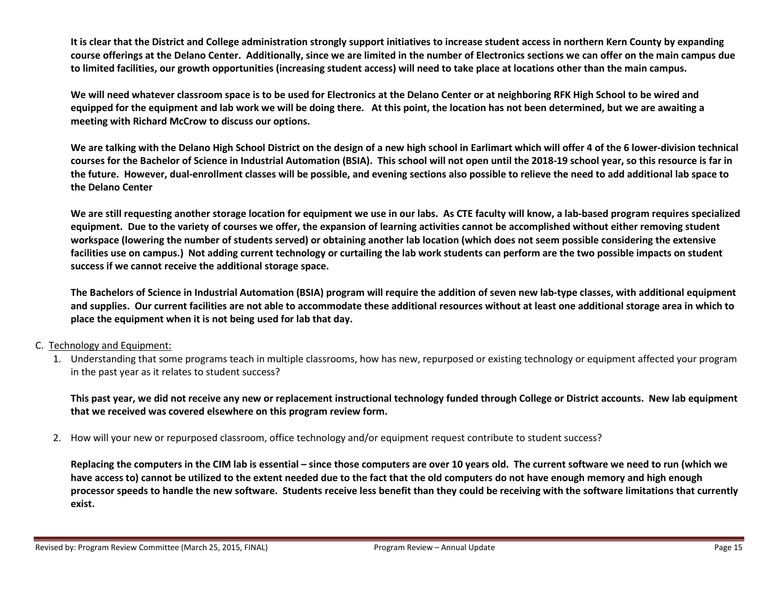It is clear that the District and College administration strongly support initiatives to increase student access in northern Kern County by expanding course offerings at the Delano Center. Additionally, since we are limited in the number of Electronics sections we can offer on the main campus due to limited facilities, our growth opportunities (increasing student access) will need to take place at locations other than the main campus.

We will need whatever classroom space is to be used for Electronics at the Delano Center or at neighboring RFK High School to be wired and equipped for the equipment and lab work we will be doing there. At this point, the location has not been determined, but we are awaiting a meeting with Richard McCrow to discuss our options.

We are talking with the Delano High School District on the design of a new high school in Earlimart which will offer 4 of the 6 lower-division technical courses for the Bachelor of Science in Industrial Automation (BSIA). This school will not open until the 2018-19 school year, so this resource is far in the future. However, dual-enrollment classes will be possible, and evening sections also possible to relieve the need to add additional lab space to the Delano Center

We are still requesting another storage location for equipment we use in our labs. As CTE faculty will know, a lab-based program requires specialized equipment. Due to the variety of courses we offer, the expansion of learning activities cannot be accomplished without either removing student workspace (lowering the number of students served) or obtaining another lab location (which does not seem possible considering the extensive facilities use on campus.) Not adding current technology or curtailing the lab work students can perform are the two possible impacts on student success if we cannot receive the additional storage space.

The Bachelors of Science in Industrial Automation (BSIA) program will require the addition of seven new lab-type classes, with additional equipment and supplies. Our current facilities are not able to accommodate these additional resources without at least one additional storage area in which to place the equipment when it is not being used for lab that day.

### C. Technology and Equipment:

1. Understanding that some programs teach in multiple classrooms, how has new, repurposed or existing technology or equipment affected your program in the past year as it relates to student success?

This past year, we did not receive any new or replacement instructional technology funded through College or District accounts. New lab equipment that we received was covered elsewhere on this program review form.

2. How will your new or repurposed classroom, office technology and/or equipment request contribute to student success?

Replacing the computers in the CIM lab is essential – since those computers are over 10 years old. The current software we need to run (which we have access to) cannot be utilized to the extent needed due to the fact that the old computers do not have enough memory and high enough processor speeds to handle the new software. Students receive less benefit than they could be receiving with the software limitations that currently exist.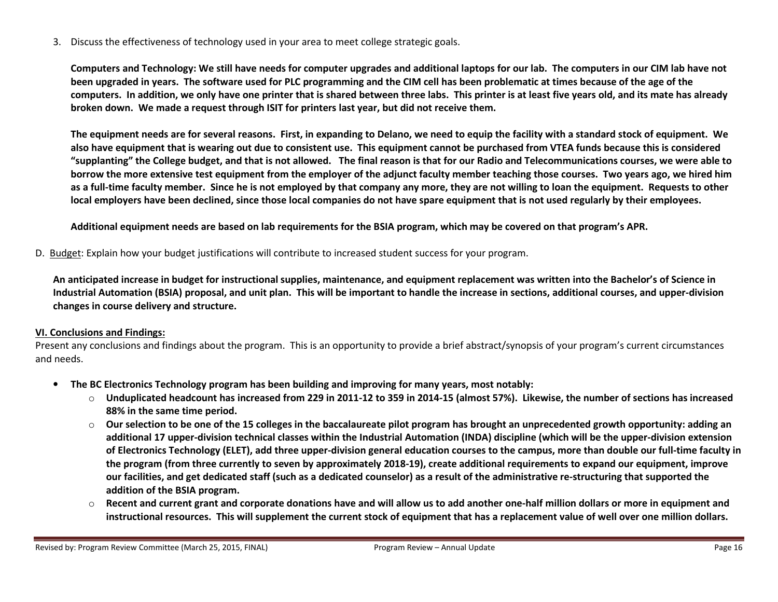3. Discuss the effectiveness of technology used in your area to meet college strategic goals.

Computers and Technology: We still have needs for computer upgrades and additional laptops for our lab. The computers in our CIM lab have not been upgraded in years. The software used for PLC programming and the CIM cell has been problematic at times because of the age of the computers. In addition, we only have one printer that is shared between three labs. This printer is at least five years old, and its mate has already broken down. We made a request through ISIT for printers last year, but did not receive them.

The equipment needs are for several reasons. First, in expanding to Delano, we need to equip the facility with a standard stock of equipment. We also have equipment that is wearing out due to consistent use. This equipment cannot be purchased from VTEA funds because this is considered "supplanting" the College budget, and that is not allowed. The final reason is that for our Radio and Telecommunications courses, we were able to borrow the more extensive test equipment from the employer of the adjunct faculty member teaching those courses. Two years ago, we hired him as a full-time faculty member. Since he is not employed by that company any more, they are not willing to loan the equipment. Requests to other local employers have been declined, since those local companies do not have spare equipment that is not used regularly by their employees.

Additional equipment needs are based on lab requirements for the BSIA program, which may be covered on that program's APR.

D. Budget: Explain how your budget justifications will contribute to increased student success for your program.

An anticipated increase in budget for instructional supplies, maintenance, and equipment replacement was written into the Bachelor's of Science in Industrial Automation (BSIA) proposal, and unit plan. This will be important to handle the increase in sections, additional courses, and upper-division changes in course delivery and structure.

# VI. Conclusions and Findings:

Present any conclusions and findings about the program. This is an opportunity to provide a brief abstract/synopsis of your program's current circumstances and needs.

- $\bullet$  The BC Electronics Technology program has been building and improving for many years, most notably:
	- $\circ$  Unduplicated headcount has increased from 229 in 2011-12 to 359 in 2014-15 (almost 57%). Likewise, the number of sections has increased 88% in the same time period.
	- $\circ$  Our selection to be one of the 15 colleges in the baccalaureate pilot program has brought an unprecedented growth opportunity: adding an additional 17 upper-division technical classes within the Industrial Automation (INDA) discipline (which will be the upper-division extension of Electronics Technology (ELET), add three upper-division general education courses to the campus, more than double our full-time faculty in the program (from three currently to seven by approximately 2018-19), create additional requirements to expand our equipment, improve our facilities, and get dedicated staff (such as a dedicated counselor) as a result of the administrative re-structuring that supported the addition of the BSIA program.
	- o Recent and current grant and corporate donations have and will allow us to add another one-half million dollars or more in equipment and instructional resources. This will supplement the current stock of equipment that has a replacement value of well over one million dollars.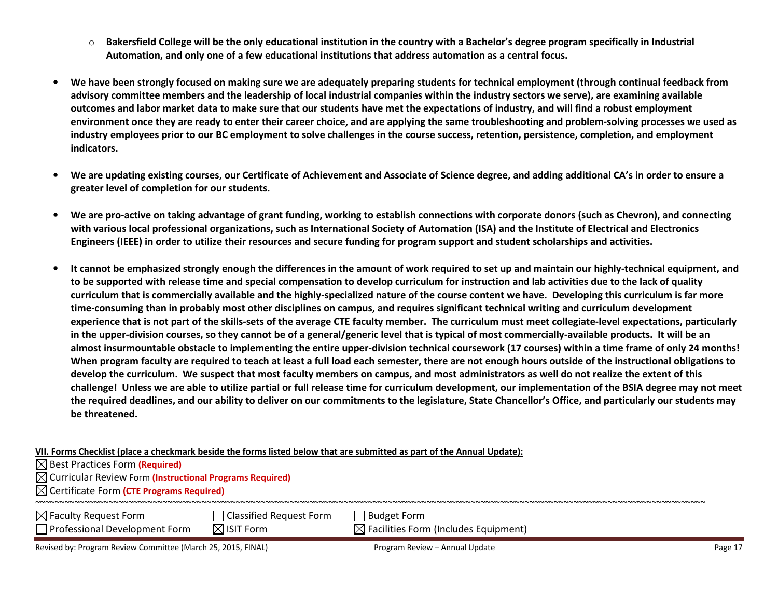- o Bakersfield College will be the only educational institution in the country with a Bachelor's degree program specifically in Industrial Automation, and only one of a few educational institutions that address automation as a central focus.
- • We have been strongly focused on making sure we are adequately preparing students for technical employment (through continual feedback from advisory committee members and the leadership of local industrial companies within the industry sectors we serve), are examining available outcomes and labor market data to make sure that our students have met the expectations of industry, and will find a robust employment environment once they are ready to enter their career choice, and are applying the same troubleshooting and problem-solving processes we used as industry employees prior to our BC employment to solve challenges in the course success, retention, persistence, completion, and employment indicators.
- • We are updating existing courses, our Certificate of Achievement and Associate of Science degree, and adding additional CA's in order to ensure a greater level of completion for our students.
- •We are pro-active on taking advantage of grant funding, working to establish connections with corporate donors (such as Chevron), and connecting with various local professional organizations, such as International Society of Automation (ISA) and the Institute of Electrical and Electronics Engineers (IEEE) in order to utilize their resources and secure funding for program support and student scholarships and activities.
- • It cannot be emphasized strongly enough the differences in the amount of work required to set up and maintain our highly-technical equipment, and to be supported with release time and special compensation to develop curriculum for instruction and lab activities due to the lack of quality curriculum that is commercially available and the highly-specialized nature of the course content we have. Developing this curriculum is far more time-consuming than in probably most other disciplines on campus, and requires significant technical writing and curriculum development experience that is not part of the skills-sets of the average CTE faculty member. The curriculum must meet collegiate-level expectations, particularly in the upper-division courses, so they cannot be of a general/generic level that is typical of most commercially-available products. It will be an almost insurmountable obstacle to implementing the entire upper-division technical coursework (17 courses) within a time frame of only 24 months! When program faculty are required to teach at least a full load each semester, there are not enough hours outside of the instructional obligations to develop the curriculum. We suspect that most faculty members on campus, and most administrators as well do not realize the extent of this challenge! Unless we are able to utilize partial or full release time for curriculum development, our implementation of the BSIA degree may not meet the required deadlines, and our ability to deliver on our commitments to the legislature, State Chancellor's Office, and particularly our students may be threatened.

| VII. Forms Checklist (place a checkmark beside the forms listed below that are submitted as part of the Annual Update): |
|-------------------------------------------------------------------------------------------------------------------------|
|-------------------------------------------------------------------------------------------------------------------------|

| $\boxtimes$ Best Practices Form (Required) |  |
|--------------------------------------------|--|
|--------------------------------------------|--|

Best Practices Form **(Required)**<br>Curricular Review Form <mark>(Instructional Programs Required)</mark>

Certificate Form (CTE Programs Required)

| $\boxtimes$ Faculty Request Form<br>Professional Development Form | <b>Classified Request Form</b><br>$\boxtimes$ ISIT Form | Budget Form<br>$\boxtimes$ Facilities Form (Includes Equipment) |
|-------------------------------------------------------------------|---------------------------------------------------------|-----------------------------------------------------------------|
|                                                                   |                                                         |                                                                 |

Revised by: Program Review Committee (March 25, 2015, FINAL) Program Review – Annual Update Page 17